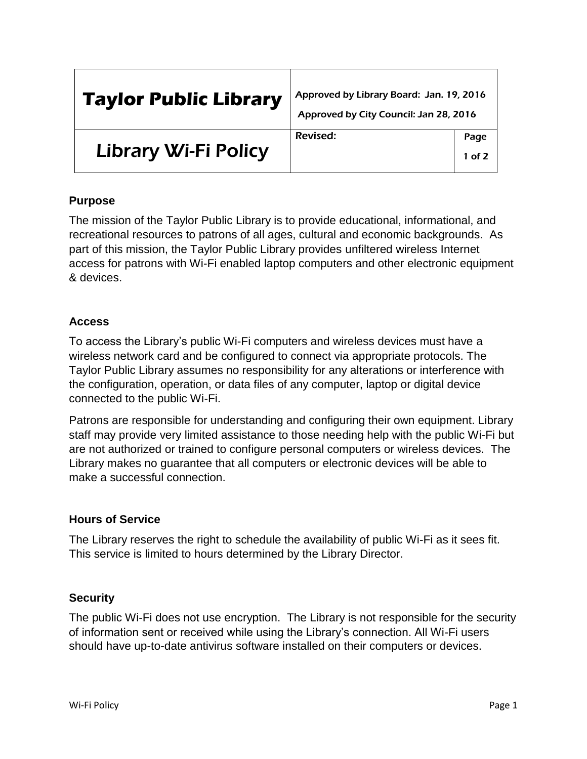| <b>Taylor Public Library</b> | Approved by Library Board: Jan. 19, 2016<br>Approved by City Council: Jan 28, 2016 |                |
|------------------------------|------------------------------------------------------------------------------------|----------------|
| <b>Library Wi-Fi Policy</b>  | Revised:                                                                           | Page<br>1 of 2 |

## **Purpose**

The mission of the Taylor Public Library is to provide educational, informational, and recreational resources to patrons of all ages, cultural and economic backgrounds. As part of this mission, the Taylor Public Library provides unfiltered wireless Internet access for patrons with Wi-Fi enabled laptop computers and other electronic equipment & devices.

## **Access**

To access the Library's public Wi-Fi computers and wireless devices must have a wireless network card and be configured to connect via appropriate protocols. The Taylor Public Library assumes no responsibility for any alterations or interference with the configuration, operation, or data files of any computer, laptop or digital device connected to the public Wi-Fi.

Patrons are responsible for understanding and configuring their own equipment. Library staff may provide very limited assistance to those needing help with the public Wi-Fi but are not authorized or trained to configure personal computers or wireless devices. The Library makes no guarantee that all computers or electronic devices will be able to make a successful connection.

## **Hours of Service**

The Library reserves the right to schedule the availability of public Wi-Fi as it sees fit. This service is limited to hours determined by the Library Director.

## **Security**

The public Wi-Fi does not use encryption. The Library is not responsible for the security of information sent or received while using the Library's connection. All Wi-Fi users should have up-to-date antivirus software installed on their computers or devices.